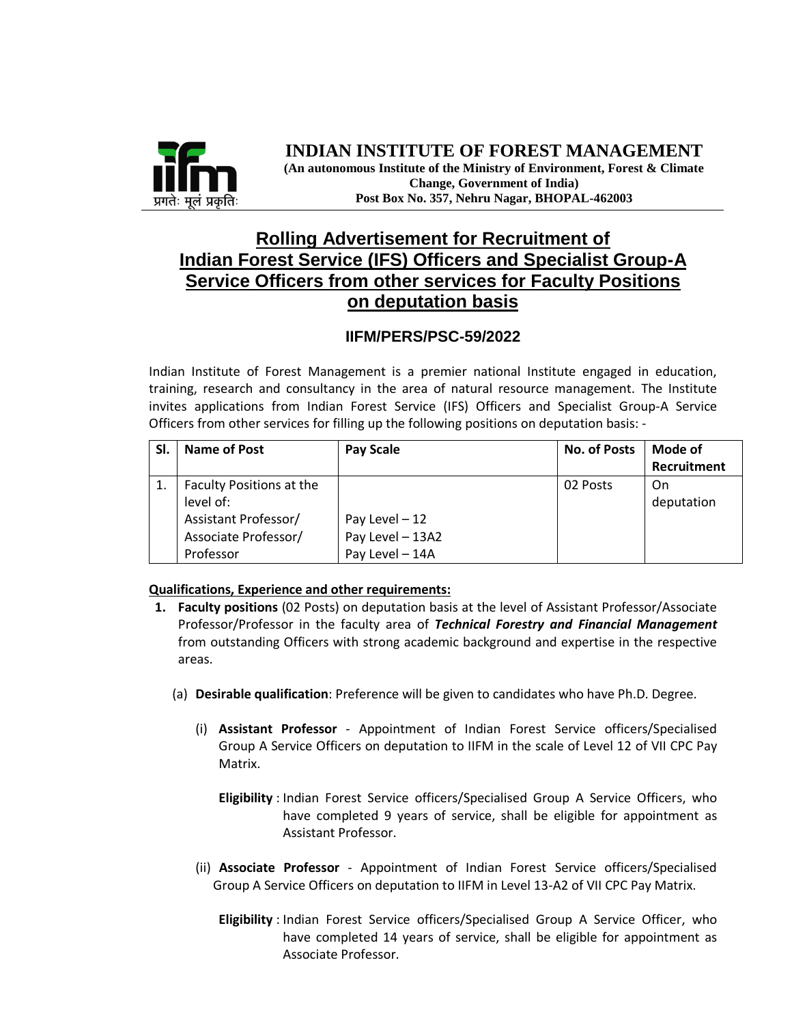

#### **INDIAN INSTITUTE OF FOREST MANAGEMENT (An autonomous Institute of the Ministry of Environment, Forest & Climate Change, Government of India) Post Box No. 357, Nehru Nagar, BHOPAL-462003**

## **Rolling Advertisement for Recruitment of Indian Forest Service (IFS) Officers and Specialist Group-A Service Officers from other services for Faculty Positions on deputation basis**

#### **IIFM/PERS/PSC-59/2022**

Indian Institute of Forest Management is a premier national Institute engaged in education, training, research and consultancy in the area of natural resource management. The Institute invites applications from Indian Forest Service (IFS) Officers and Specialist Group-A Service Officers from other services for filling up the following positions on deputation basis: -

| SI. | Name of Post             | <b>Pay Scale</b> | <b>No. of Posts</b> | Mode of     |
|-----|--------------------------|------------------|---------------------|-------------|
|     |                          |                  |                     | Recruitment |
|     | Faculty Positions at the |                  | 02 Posts            | On          |
|     | level of:                |                  |                     | deputation  |
|     | Assistant Professor/     | Pay Level - 12   |                     |             |
|     | Associate Professor/     | Pay Level - 13A2 |                     |             |
|     | Professor                | Pay Level - 14A  |                     |             |

#### **Qualifications, Experience and other requirements:**

- **1. Faculty positions** (02 Posts) on deputation basis at the level of Assistant Professor/Associate Professor/Professor in the faculty area of *Technical Forestry and Financial Management* from outstanding Officers with strong academic background and expertise in the respective areas.
	- (a) **Desirable qualification**: Preference will be given to candidates who have Ph.D. Degree.
		- (i) **Assistant Professor** Appointment of Indian Forest Service officers/Specialised Group A Service Officers on deputation to IIFM in the scale of Level 12 of VII CPC Pay Matrix.
			- **Eligibility** : Indian Forest Service officers/Specialised Group A Service Officers, who have completed 9 years of service, shall be eligible for appointment as Assistant Professor.
		- (ii) **Associate Professor** Appointment of Indian Forest Service officers/Specialised Group A Service Officers on deputation to IIFM in Level 13-A2 of VII CPC Pay Matrix.
			- **Eligibility** : Indian Forest Service officers/Specialised Group A Service Officer, who have completed 14 years of service, shall be eligible for appointment as Associate Professor.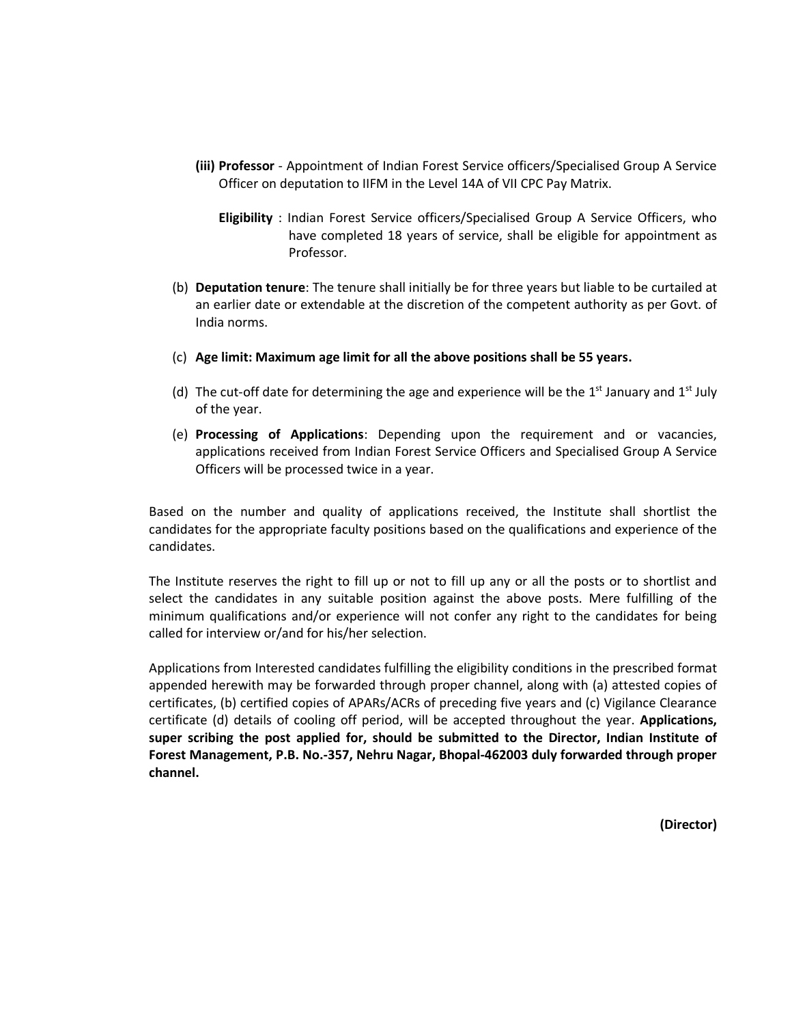- **(iii) Professor** Appointment of Indian Forest Service officers/Specialised Group A Service Officer on deputation to IIFM in the Level 14A of VII CPC Pay Matrix.
	- **Eligibility** : Indian Forest Service officers/Specialised Group A Service Officers, who have completed 18 years of service, shall be eligible for appointment as Professor.
- (b) **Deputation tenure**: The tenure shall initially be for three years but liable to be curtailed at an earlier date or extendable at the discretion of the competent authority as per Govt. of India norms.
- (c) **Age limit: Maximum age limit for all the above positions shall be 55 years.**
- (d) The cut-off date for determining the age and experience will be the  $1<sup>st</sup>$  January and  $1<sup>st</sup>$  July of the year.
- (e) **Processing of Applications**: Depending upon the requirement and or vacancies, applications received from Indian Forest Service Officers and Specialised Group A Service Officers will be processed twice in a year.

Based on the number and quality of applications received, the Institute shall shortlist the candidates for the appropriate faculty positions based on the qualifications and experience of the candidates.

The Institute reserves the right to fill up or not to fill up any or all the posts or to shortlist and select the candidates in any suitable position against the above posts. Mere fulfilling of the minimum qualifications and/or experience will not confer any right to the candidates for being called for interview or/and for his/her selection.

Applications from Interested candidates fulfilling the eligibility conditions in the prescribed format appended herewith may be forwarded through proper channel, along with (a) attested copies of certificates, (b) certified copies of APARs/ACRs of preceding five years and (c) Vigilance Clearance certificate (d) details of cooling off period, will be accepted throughout the year. **Applications, super scribing the post applied for, should be submitted to the Director, Indian Institute of Forest Management, P.B. No.-357, Nehru Nagar, Bhopal-462003 duly forwarded through proper channel.**

**(Director)**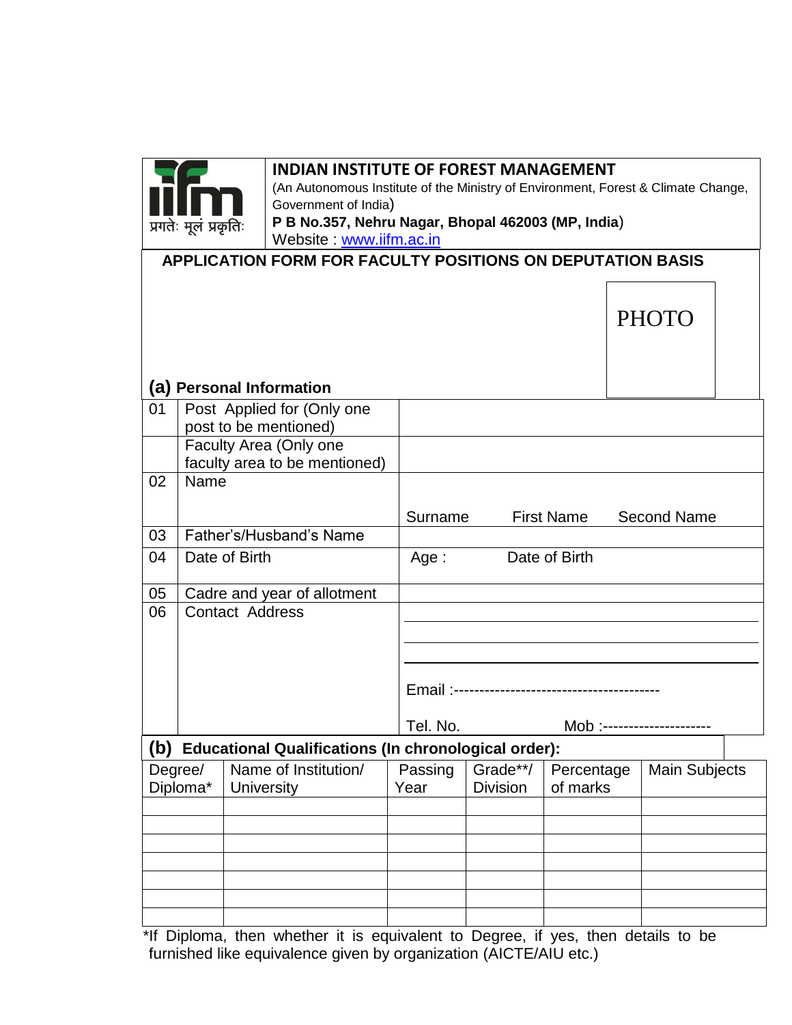

### **INDIAN INSTITUTE OF FOREST MANAGEMENT**

(An Autonomous Institute of the Ministry of Environment, Forest & Climate Change, Government of India) **P B No.357, Nehru Nagar, Bhopal 462003 (MP, India**) Website : [www.iifm.ac.in](http://www.iifm.ac.in/)

| $\mathbf{v}$                                               |
|------------------------------------------------------------|
| APPLICATION FORM FOR FACULTY POSITIONS ON DEPUTATION BASIS |

## **(a) Personal Information**

|     | $\cdot$                |                                                             |          |                            |                   |                      |  |  |  |
|-----|------------------------|-------------------------------------------------------------|----------|----------------------------|-------------------|----------------------|--|--|--|
| 01  |                        | Post Applied for (Only one                                  |          |                            |                   |                      |  |  |  |
|     | post to be mentioned)  |                                                             |          |                            |                   |                      |  |  |  |
|     | Faculty Area (Only one |                                                             |          |                            |                   |                      |  |  |  |
|     |                        | faculty area to be mentioned)                               |          |                            |                   |                      |  |  |  |
| 02  | Name                   |                                                             |          |                            |                   |                      |  |  |  |
|     |                        |                                                             |          |                            |                   |                      |  |  |  |
|     |                        |                                                             | Surname  |                            | <b>First Name</b> | <b>Second Name</b>   |  |  |  |
| 03  |                        | Father's/Husband's Name                                     |          |                            |                   |                      |  |  |  |
| 04  |                        | Date of Birth                                               | Age:     |                            | Date of Birth     |                      |  |  |  |
|     |                        |                                                             |          |                            |                   |                      |  |  |  |
| 05  |                        | Cadre and year of allotment                                 |          |                            |                   |                      |  |  |  |
| 06  |                        | <b>Contact Address</b>                                      |          |                            |                   |                      |  |  |  |
|     |                        |                                                             |          |                            |                   |                      |  |  |  |
|     |                        |                                                             |          |                            |                   |                      |  |  |  |
|     |                        |                                                             |          |                            |                   |                      |  |  |  |
|     |                        |                                                             |          |                            |                   |                      |  |  |  |
|     |                        |                                                             |          |                            |                   |                      |  |  |  |
|     |                        |                                                             | Tel. No. | Mob :--------------------- |                   |                      |  |  |  |
| (b) |                        | <b>Educational Qualifications (In chronological order):</b> |          |                            |                   |                      |  |  |  |
|     | Degree/                | Name of Institution/                                        | Passing  | Grade**/                   | Percentage        | <b>Main Subjects</b> |  |  |  |
|     | Diploma*               | <b>University</b>                                           | Year     | <b>Division</b>            | of marks          |                      |  |  |  |
|     |                        |                                                             |          |                            |                   |                      |  |  |  |
|     |                        |                                                             |          |                            |                   |                      |  |  |  |
|     |                        |                                                             |          |                            |                   |                      |  |  |  |
|     |                        |                                                             |          |                            |                   |                      |  |  |  |
|     |                        |                                                             |          |                            |                   |                      |  |  |  |
|     |                        |                                                             |          |                            |                   |                      |  |  |  |
|     |                        |                                                             |          |                            |                   |                      |  |  |  |

\*If Diploma, then whether it is equivalent to Degree, if yes, then details to be furnished like equivalence given by organization (AICTE/AIU etc.)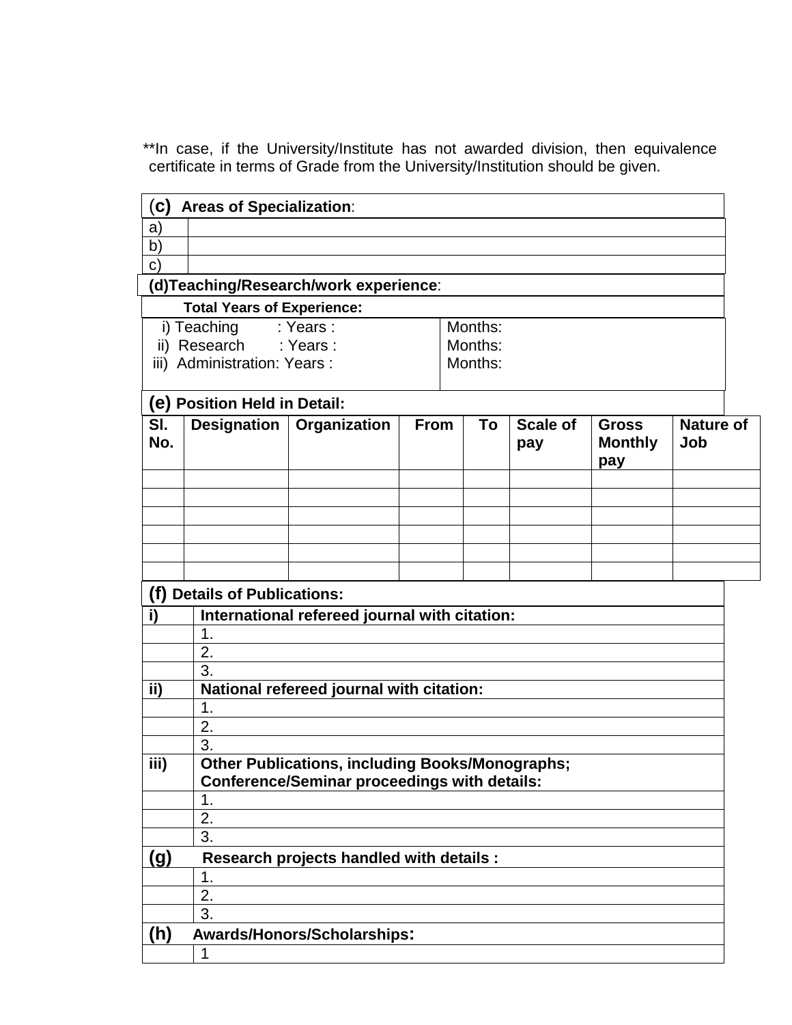\*\*In case, if the University/Institute has not awarded division, then equivalence certificate in terms of Grade from the University/Institution should be given.

| a)<br>b)<br>$\mathsf{C}$<br>(d)Teaching/Research/work experience:<br><b>Total Years of Experience:</b><br>: Years:<br>Months:<br>i) Teaching<br>ii) Research : Years :<br>Months:<br>iii) Administration: Years :<br>Months:<br>(e) Position Held in Detail:<br>SI.<br>Designation   Organization<br><b>From</b><br>To<br><b>Scale of</b><br><b>Nature of</b><br><b>Gross</b><br>No.<br><b>Monthly</b><br>Job<br>pay<br>pay<br>(f) Details of Publications:<br>International refereed journal with citation:<br>i)<br>1.<br>2.<br>3.<br>ii)<br>National refereed journal with citation:<br>1.<br>2.<br>3.<br>iii)<br><b>Other Publications, including Books/Monographs;</b><br><b>Conference/Seminar proceedings with details:</b><br>1.<br>2.<br>3.<br><u>(g)</u><br>Research projects handled with details :<br>1. | $\mathbf{c}$ | <b>Areas of Specialization:</b> |  |  |  |  |  |  |  |  |
|----------------------------------------------------------------------------------------------------------------------------------------------------------------------------------------------------------------------------------------------------------------------------------------------------------------------------------------------------------------------------------------------------------------------------------------------------------------------------------------------------------------------------------------------------------------------------------------------------------------------------------------------------------------------------------------------------------------------------------------------------------------------------------------------------------------------|--------------|---------------------------------|--|--|--|--|--|--|--|--|
|                                                                                                                                                                                                                                                                                                                                                                                                                                                                                                                                                                                                                                                                                                                                                                                                                      |              |                                 |  |  |  |  |  |  |  |  |
|                                                                                                                                                                                                                                                                                                                                                                                                                                                                                                                                                                                                                                                                                                                                                                                                                      |              |                                 |  |  |  |  |  |  |  |  |
|                                                                                                                                                                                                                                                                                                                                                                                                                                                                                                                                                                                                                                                                                                                                                                                                                      |              |                                 |  |  |  |  |  |  |  |  |
|                                                                                                                                                                                                                                                                                                                                                                                                                                                                                                                                                                                                                                                                                                                                                                                                                      |              |                                 |  |  |  |  |  |  |  |  |
|                                                                                                                                                                                                                                                                                                                                                                                                                                                                                                                                                                                                                                                                                                                                                                                                                      |              |                                 |  |  |  |  |  |  |  |  |
|                                                                                                                                                                                                                                                                                                                                                                                                                                                                                                                                                                                                                                                                                                                                                                                                                      |              |                                 |  |  |  |  |  |  |  |  |
|                                                                                                                                                                                                                                                                                                                                                                                                                                                                                                                                                                                                                                                                                                                                                                                                                      |              |                                 |  |  |  |  |  |  |  |  |
|                                                                                                                                                                                                                                                                                                                                                                                                                                                                                                                                                                                                                                                                                                                                                                                                                      |              |                                 |  |  |  |  |  |  |  |  |
|                                                                                                                                                                                                                                                                                                                                                                                                                                                                                                                                                                                                                                                                                                                                                                                                                      |              |                                 |  |  |  |  |  |  |  |  |
|                                                                                                                                                                                                                                                                                                                                                                                                                                                                                                                                                                                                                                                                                                                                                                                                                      |              |                                 |  |  |  |  |  |  |  |  |
|                                                                                                                                                                                                                                                                                                                                                                                                                                                                                                                                                                                                                                                                                                                                                                                                                      |              |                                 |  |  |  |  |  |  |  |  |
|                                                                                                                                                                                                                                                                                                                                                                                                                                                                                                                                                                                                                                                                                                                                                                                                                      |              |                                 |  |  |  |  |  |  |  |  |
|                                                                                                                                                                                                                                                                                                                                                                                                                                                                                                                                                                                                                                                                                                                                                                                                                      |              |                                 |  |  |  |  |  |  |  |  |
|                                                                                                                                                                                                                                                                                                                                                                                                                                                                                                                                                                                                                                                                                                                                                                                                                      |              |                                 |  |  |  |  |  |  |  |  |
|                                                                                                                                                                                                                                                                                                                                                                                                                                                                                                                                                                                                                                                                                                                                                                                                                      |              |                                 |  |  |  |  |  |  |  |  |
|                                                                                                                                                                                                                                                                                                                                                                                                                                                                                                                                                                                                                                                                                                                                                                                                                      |              |                                 |  |  |  |  |  |  |  |  |
|                                                                                                                                                                                                                                                                                                                                                                                                                                                                                                                                                                                                                                                                                                                                                                                                                      |              |                                 |  |  |  |  |  |  |  |  |
|                                                                                                                                                                                                                                                                                                                                                                                                                                                                                                                                                                                                                                                                                                                                                                                                                      |              |                                 |  |  |  |  |  |  |  |  |
|                                                                                                                                                                                                                                                                                                                                                                                                                                                                                                                                                                                                                                                                                                                                                                                                                      |              |                                 |  |  |  |  |  |  |  |  |
|                                                                                                                                                                                                                                                                                                                                                                                                                                                                                                                                                                                                                                                                                                                                                                                                                      |              |                                 |  |  |  |  |  |  |  |  |
|                                                                                                                                                                                                                                                                                                                                                                                                                                                                                                                                                                                                                                                                                                                                                                                                                      |              |                                 |  |  |  |  |  |  |  |  |
|                                                                                                                                                                                                                                                                                                                                                                                                                                                                                                                                                                                                                                                                                                                                                                                                                      |              |                                 |  |  |  |  |  |  |  |  |
|                                                                                                                                                                                                                                                                                                                                                                                                                                                                                                                                                                                                                                                                                                                                                                                                                      |              |                                 |  |  |  |  |  |  |  |  |
|                                                                                                                                                                                                                                                                                                                                                                                                                                                                                                                                                                                                                                                                                                                                                                                                                      |              |                                 |  |  |  |  |  |  |  |  |
|                                                                                                                                                                                                                                                                                                                                                                                                                                                                                                                                                                                                                                                                                                                                                                                                                      |              |                                 |  |  |  |  |  |  |  |  |
|                                                                                                                                                                                                                                                                                                                                                                                                                                                                                                                                                                                                                                                                                                                                                                                                                      |              |                                 |  |  |  |  |  |  |  |  |
|                                                                                                                                                                                                                                                                                                                                                                                                                                                                                                                                                                                                                                                                                                                                                                                                                      |              |                                 |  |  |  |  |  |  |  |  |
|                                                                                                                                                                                                                                                                                                                                                                                                                                                                                                                                                                                                                                                                                                                                                                                                                      |              |                                 |  |  |  |  |  |  |  |  |
|                                                                                                                                                                                                                                                                                                                                                                                                                                                                                                                                                                                                                                                                                                                                                                                                                      |              |                                 |  |  |  |  |  |  |  |  |
| 2.<br>$\overline{3}$ .                                                                                                                                                                                                                                                                                                                                                                                                                                                                                                                                                                                                                                                                                                                                                                                               |              |                                 |  |  |  |  |  |  |  |  |
| (h)<br><b>Awards/Honors/Scholarships:</b>                                                                                                                                                                                                                                                                                                                                                                                                                                                                                                                                                                                                                                                                                                                                                                            |              |                                 |  |  |  |  |  |  |  |  |
| 1                                                                                                                                                                                                                                                                                                                                                                                                                                                                                                                                                                                                                                                                                                                                                                                                                    |              |                                 |  |  |  |  |  |  |  |  |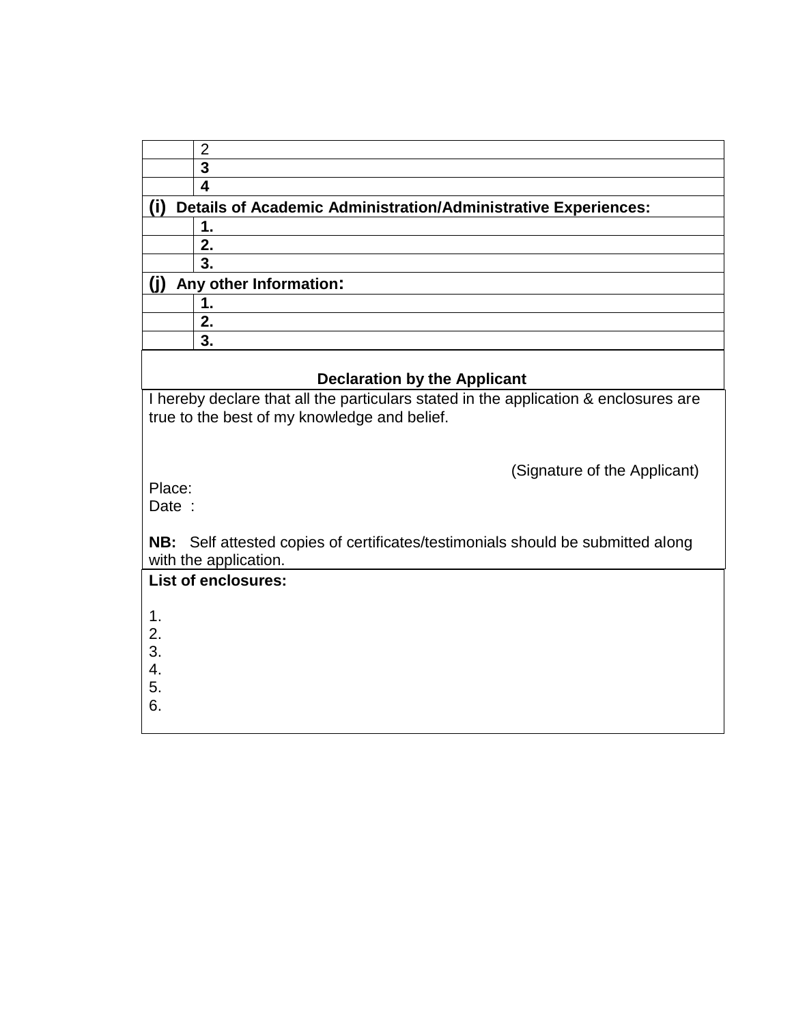| າ                                                                     |
|-----------------------------------------------------------------------|
| 3                                                                     |
|                                                                       |
| <b>Details of Academic Administration/Administrative Experiences:</b> |
|                                                                       |
| 2.                                                                    |
| 3.                                                                    |
| Any other Information:                                                |
|                                                                       |
| 2.                                                                    |
| 3.                                                                    |

# **Declaration by the Applicant**

I hereby declare that all the particulars stated in the application & enclosures are true to the best of my knowledge and belief.

(Signature of the Applicant)

Place:

Date :

**NB:** Self attested copies of certificates/testimonials should be submitted along with the application.

| <b>List of enclosures:</b> |  |
|----------------------------|--|
| 1.                         |  |
| 2.                         |  |
| 3.                         |  |
| 4.<br>5.                   |  |
| 6.                         |  |
|                            |  |